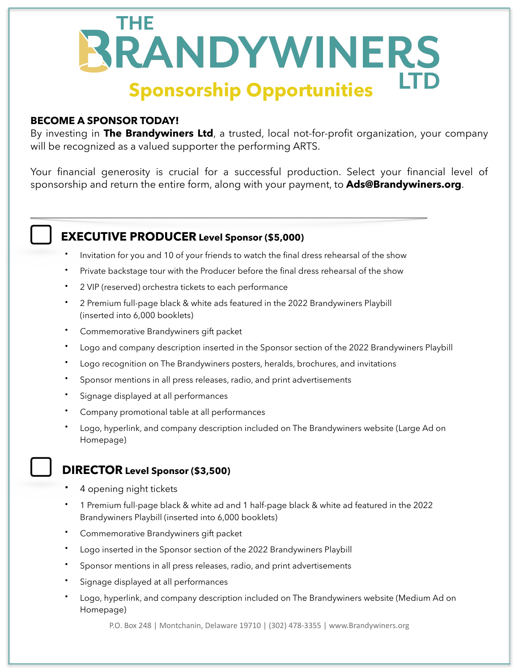

#### **BECOME A SPONSOR TODAY!**

By investing in **The Brandywiners Ltd**, a trusted, local not-for-profit organization, your company will be recognized as a valued supporter the performing ARTS.

Your financial generosity is crucial for a successful production. Select your financial level of sponsorship and return the entire form, along with your payment, to **Ads@Brandywiners.org**.

# **EXECUTIVE PRODUCER Level Sponsor (\$5,000)**

- Invitation for you and 10 of your friends to watch the final dress rehearsal of the show
- Private backstage tour with the Producer before the final dress rehearsal of the show
- 2 VIP (reserved) orchestra tickets to each performance
- 2 Premium full-page black & white ads featured in the 2022 Brandywiners Playbill (inserted into 6,000 booklets)
- Commemorative Brandywiners gift packet
- Logo and company description inserted in the Sponsor section of the 2022 Brandywiners Playbill
- Logo recognition on The Brandywiners posters, heralds, brochures, and invitations
- Sponsor mentions in all press releases, radio, and print advertisements
- Signage displayed at all performances
- Company promotional table at all performances
- Logo, hyperlink, and company description included on The Brandywiners website (Large Ad on Homepage)

### **DIRECTOR Level Sponsor (\$3,500)**

- 4 opening night tickets
- 1 Premium full-page black & white ad and 1 half-page black & white ad featured in the 2022 Brandywiners Playbill (inserted into 6,000 booklets)
- Commemorative Brandywiners gift packet
- Logo inserted in the Sponsor section of the 2022 Brandywiners Playbill
- Sponsor mentions in all press releases, radio, and print advertisements
- Signage displayed at all performances
- Logo, hyperlink, and company description included on The Brandywiners website (Medium Ad on Homepage)

P.O. Box 248 | Montchanin, Delaware 19710 | (302) 478-3355 | www.Brandywiners.org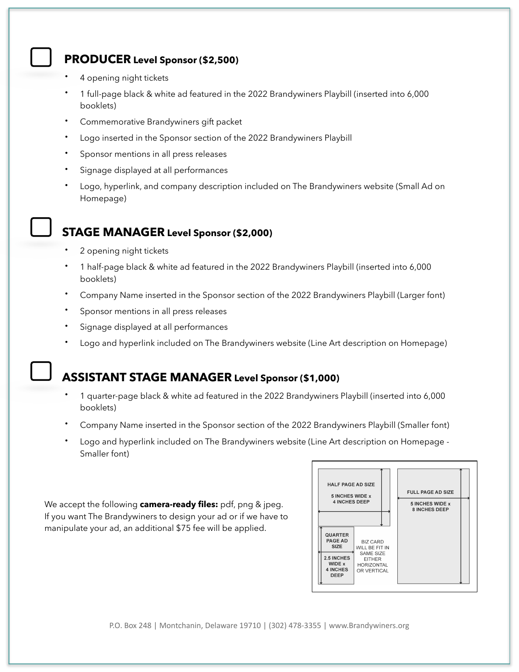### **PRODUCER Level Sponsor (\$2,500)**

- 4 opening night tickets
- 1 full-page black & white ad featured in the 2022 Brandywiners Playbill (inserted into 6,000 booklets)
- Commemorative Brandywiners gift packet
- Logo inserted in the Sponsor section of the 2022 Brandywiners Playbill
- Sponsor mentions in all press releases
- Signage displayed at all performances
- Logo, hyperlink, and company description included on The Brandywiners website (Small Ad on Homepage)

# **STAGE MANAGER Level Sponsor (\$2,000)**

- 2 opening night tickets
- 1 half-page black & white ad featured in the 2022 Brandywiners Playbill (inserted into 6,000 booklets)
- Company Name inserted in the Sponsor section of the 2022 Brandywiners Playbill (Larger font)
- Sponsor mentions in all press releases
- Signage displayed at all performances
- Logo and hyperlink included on The Brandywiners website (Line Art description on Homepage)

### **ASSISTANT STAGE MANAGER Level Sponsor (\$1,000)**

- 1 quarter-page black & white ad featured in the 2022 Brandywiners Playbill (inserted into 6,000 booklets)
- Company Name inserted in the Sponsor section of the 2022 Brandywiners Playbill (Smaller font)
- Logo and hyperlink included on The Brandywiners website (Line Art description on Homepage Smaller font)

We accept the following **camera-ready files:** pdf, png & jpeg. If you want The Brandywiners to design your ad or if we have to manipulate your ad, an additional \$75 fee will be applied.



P.O. Box 248 | Montchanin, Delaware 19710 | (302) 478-3355 | www.Brandywiners.org